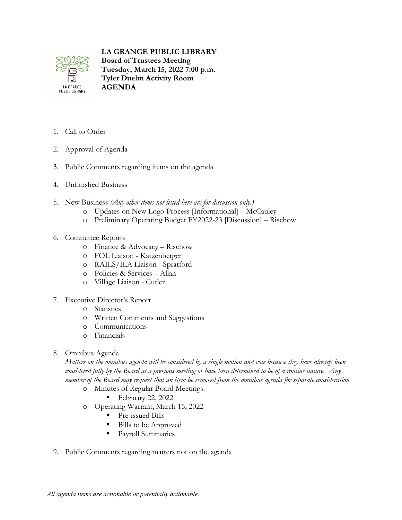

## **LA GRANGE PUBLIC LIBRARY**

**Board of Trustees Meeting Tuesday, March 15, 2022 7:00 p.m. Tyler Duelm Activity Room AGENDA**

- 1. Call to Order
- 2. Approval of Agenda
- 3. Public Comments regarding items on the agenda
- 4. Unfinished Business
- 5. New Business *(Any other items not listed here are for discussion only.)*
	- o Updates on New Logo Process [Informational] McCauley
	- o Preliminary Operating Budget FY2022-23 [Discussion] Rischow
- 6. Committee Reports
	- o Finance & Advocacy Rischow
	- o FOL Liaison Katzenberger
	- o RAILS/ILA Liaison Spratford
	- o Policies & Services Allan
	- o Village Liaison Cutler
- 7. Executive Director's Report
	- o Statistics
	- o Written Comments and Suggestions
	- o Communications
	- o Financials
- 8. Omnibus Agenda

*Matters on the omnibus agenda will be considered by a single motion and vote because they have already been considered fully by the Board at a previous meeting or have been determined to be of a routine nature. Any member of the Board may request that an item be removed from the omnibus agenda for separate consideration.*

- o Minutes of Regular Board Meetings:
	- February 22, 2022
- o Operating Warrant, March 15, 2022
	- **Pre-issued Bills**
	- Bills to be Approved
	- Payroll Summaries
- 9. Public Comments regarding matters not on the agenda